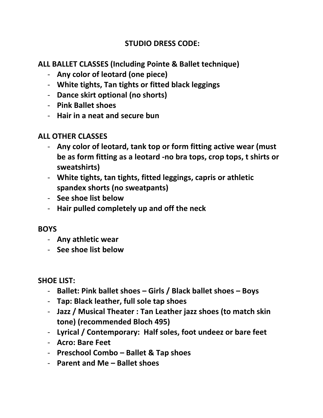## **STUDIO DRESS CODE:**

**ALL BALLET CLASSES (Including Pointe & Ballet technique)**

- **Any color of leotard (one piece)**
- **White tights, Tan tights or fitted black leggings**
- **Dance skirt optional (no shorts)**
- **Pink Ballet shoes**
- **Hair in a neat and secure bun**

## **ALL OTHER CLASSES**

- **Any color of leotard, tank top or form fitting active wear (must be as form fitting as a leotard -no bra tops, crop tops, t shirts or sweatshirts)**
- **White tights, tan tights, fitted leggings, capris or athletic spandex shorts (no sweatpants)**
- **See shoe list below**
- **Hair pulled completely up and off the neck**

## **BOYS**

- **Any athletic wear**
- **See shoe list below**

## **SHOE LIST:**

- **Ballet: Pink ballet shoes – Girls / Black ballet shoes – Boys**
- **Tap: Black leather, full sole tap shoes**
- **Jazz / Musical Theater : Tan Leather jazz shoes (to match skin tone) (recommended Bloch 495)**
- **Lyrical / Contemporary: Half soles, foot undeez or bare feet**
- **Acro: Bare Feet**
- **Preschool Combo – Ballet & Tap shoes**
- **Parent and Me – Ballet shoes**